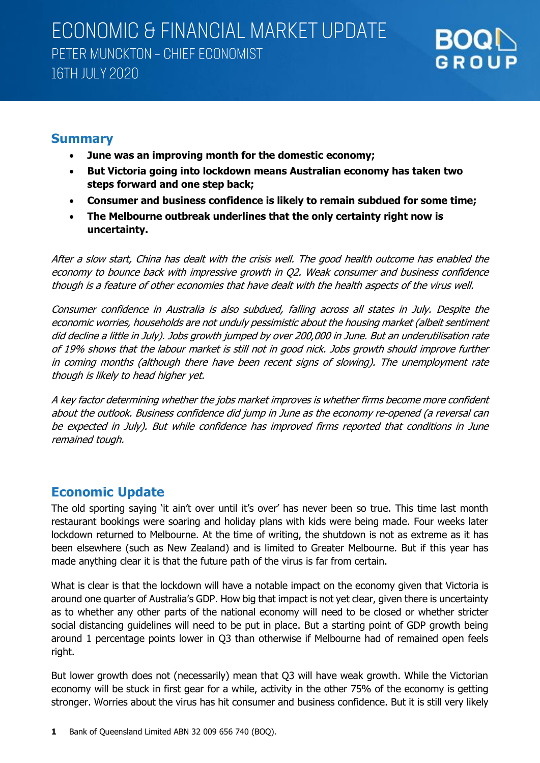

### **Summary**

- **June was an improving month for the domestic economy;**
- **But Victoria going into lockdown means Australian economy has taken two steps forward and one step back;**
- **Consumer and business confidence is likely to remain subdued for some time;**
- **The Melbourne outbreak underlines that the only certainty right now is uncertainty.**

After a slow start, China has dealt with the crisis well. The good health outcome has enabled the economy to bounce back with impressive growth in Q2. Weak consumer and business confidence though is a feature of other economies that have dealt with the health aspects of the virus well.

Consumer confidence in Australia is also subdued, falling across all states in July. Despite the economic worries, households are not unduly pessimistic about the housing market (albeit sentiment did decline a little in July). Jobs growth jumped by over 200,000 in June. But an underutilisation rate of 19% shows that the labour market is still not in good nick. Jobs growth should improve further in coming months (although there have been recent signs of slowing). The unemployment rate though is likely to head higher yet.

A key factor determining whether the jobs market improves is whether firms become more confident about the outlook. Business confidence did jump in June as the economy re-opened (a reversal can be expected in July). But while confidence has improved firms reported that conditions in June remained tough.

## **Economic Update**

The old sporting saying 'it ain't over until it's over' has never been so true. This time last month restaurant bookings were soaring and holiday plans with kids were being made. Four weeks later lockdown returned to Melbourne. At the time of writing, the shutdown is not as extreme as it has been elsewhere (such as New Zealand) and is limited to Greater Melbourne. But if this year has made anything clear it is that the future path of the virus is far from certain.

What is clear is that the lockdown will have a notable impact on the economy given that Victoria is around one quarter of Australia's GDP. How big that impact is not yet clear, given there is uncertainty as to whether any other parts of the national economy will need to be closed or whether stricter social distancing guidelines will need to be put in place. But a starting point of GDP growth being around 1 percentage points lower in Q3 than otherwise if Melbourne had of remained open feels right.

But lower growth does not (necessarily) mean that Q3 will have weak growth. While the Victorian economy will be stuck in first gear for a while, activity in the other 75% of the economy is getting stronger. Worries about the virus has hit consumer and business confidence. But it is still very likely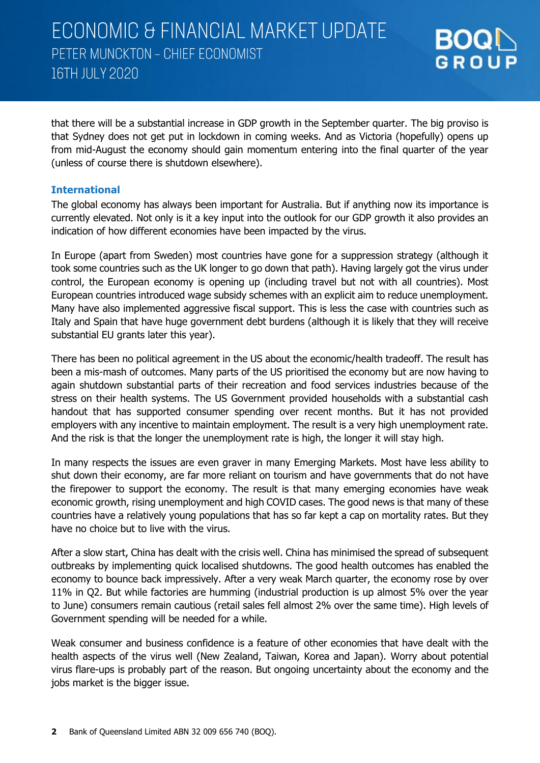

that there will be a substantial increase in GDP growth in the September quarter. The big proviso is that Sydney does not get put in lockdown in coming weeks. And as Victoria (hopefully) opens up from mid-August the economy should gain momentum entering into the final quarter of the year (unless of course there is shutdown elsewhere).

#### **International**

The global economy has always been important for Australia. But if anything now its importance is currently elevated. Not only is it a key input into the outlook for our GDP growth it also provides an indication of how different economies have been impacted by the virus.

In Europe (apart from Sweden) most countries have gone for a suppression strategy (although it took some countries such as the UK longer to go down that path). Having largely got the virus under control, the European economy is opening up (including travel but not with all countries). Most European countries introduced wage subsidy schemes with an explicit aim to reduce unemployment. Many have also implemented aggressive fiscal support. This is less the case with countries such as Italy and Spain that have huge government debt burdens (although it is likely that they will receive substantial EU grants later this year).

There has been no political agreement in the US about the economic/health tradeoff. The result has been a mis-mash of outcomes. Many parts of the US prioritised the economy but are now having to again shutdown substantial parts of their recreation and food services industries because of the stress on their health systems. The US Government provided households with a substantial cash handout that has supported consumer spending over recent months. But it has not provided employers with any incentive to maintain employment. The result is a very high unemployment rate. And the risk is that the longer the unemployment rate is high, the longer it will stay high.

In many respects the issues are even graver in many Emerging Markets. Most have less ability to shut down their economy, are far more reliant on tourism and have governments that do not have the firepower to support the economy. The result is that many emerging economies have weak economic growth, rising unemployment and high COVID cases. The good news is that many of these countries have a relatively young populations that has so far kept a cap on mortality rates. But they have no choice but to live with the virus.

After a slow start, China has dealt with the crisis well. China has minimised the spread of subsequent outbreaks by implementing quick localised shutdowns. The good health outcomes has enabled the economy to bounce back impressively. After a very weak March quarter, the economy rose by over 11% in Q2. But while factories are humming (industrial production is up almost 5% over the year to June) consumers remain cautious (retail sales fell almost 2% over the same time). High levels of Government spending will be needed for a while.

Weak consumer and business confidence is a feature of other economies that have dealt with the health aspects of the virus well (New Zealand, Taiwan, Korea and Japan). Worry about potential virus flare-ups is probably part of the reason. But ongoing uncertainty about the economy and the jobs market is the bigger issue.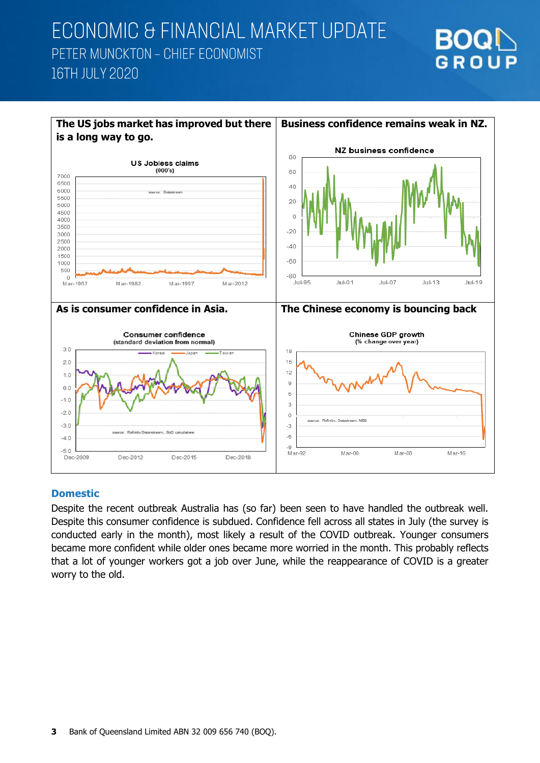# GROUP



#### **Domestic**

Despite the recent outbreak Australia has (so far) been seen to have handled the outbreak well. Despite this consumer confidence is subdued. Confidence fell across all states in July (the survey is conducted early in the month), most likely a result of the COVID outbreak. Younger consumers became more confident while older ones became more worried in the month. This probably reflects that a lot of younger workers got a job over June, while the reappearance of COVID is a greater worry to the old.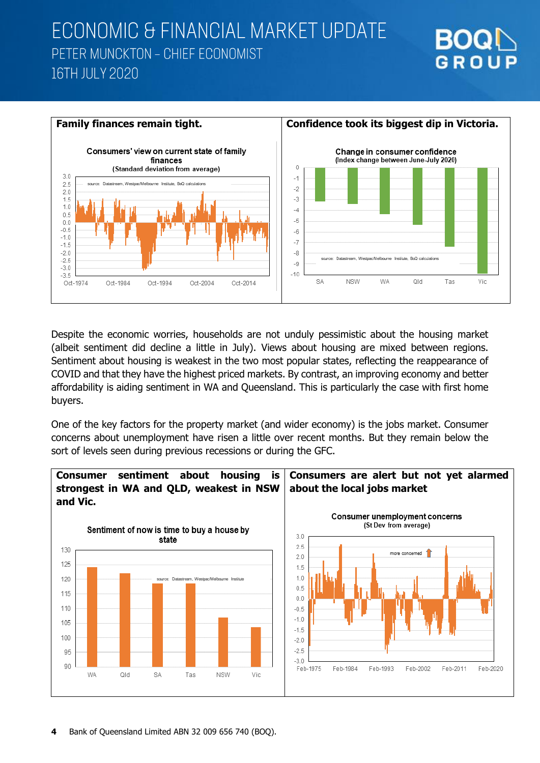



Despite the economic worries, households are not unduly pessimistic about the housing market (albeit sentiment did decline a little in July). Views about housing are mixed between regions. Sentiment about housing is weakest in the two most popular states, reflecting the reappearance of COVID and that they have the highest priced markets. By contrast, an improving economy and better affordability is aiding sentiment in WA and Queensland. This is particularly the case with first home buyers.

One of the key factors for the property market (and wider economy) is the jobs market. Consumer concerns about unemployment have risen a little over recent months. But they remain below the sort of levels seen during previous recessions or during the GFC.

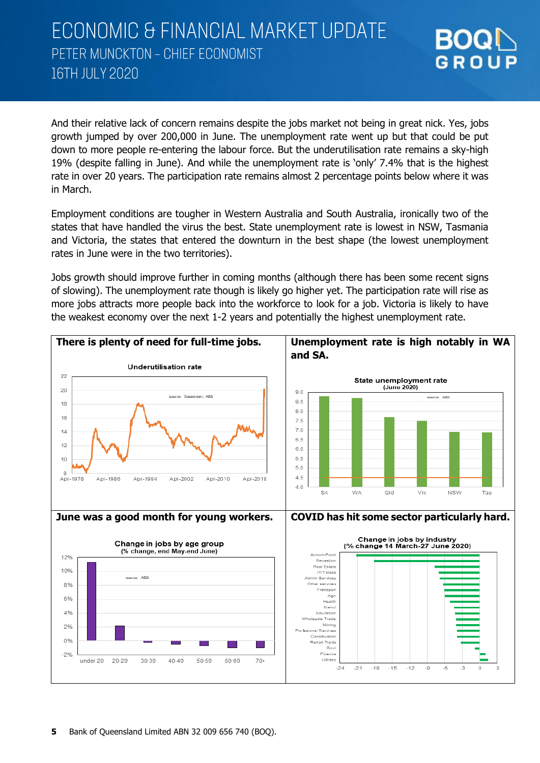GROUP

And their relative lack of concern remains despite the jobs market not being in great nick. Yes, jobs growth jumped by over 200,000 in June. The unemployment rate went up but that could be put down to more people re-entering the labour force. But the underutilisation rate remains a sky-high 19% (despite falling in June). And while the unemployment rate is 'only' 7.4% that is the highest rate in over 20 years. The participation rate remains almost 2 percentage points below where it was in March.

Employment conditions are tougher in Western Australia and South Australia, ironically two of the states that have handled the virus the best. State unemployment rate is lowest in NSW, Tasmania and Victoria, the states that entered the downturn in the best shape (the lowest unemployment rates in June were in the two territories).

Jobs growth should improve further in coming months (although there has been some recent signs of slowing). The unemployment rate though is likely go higher yet. The participation rate will rise as more jobs attracts more people back into the workforce to look for a job. Victoria is likely to have the weakest economy over the next 1-2 years and potentially the highest unemployment rate.